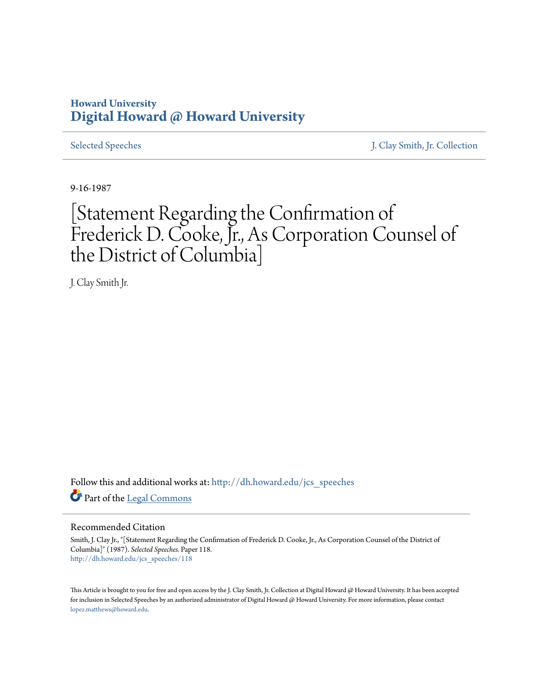## **Howard University [Digital Howard @ Howard University](http://dh.howard.edu?utm_source=dh.howard.edu%2Fjcs_speeches%2F118&utm_medium=PDF&utm_campaign=PDFCoverPages)**

[Selected Speeches](http://dh.howard.edu/jcs_speeches?utm_source=dh.howard.edu%2Fjcs_speeches%2F118&utm_medium=PDF&utm_campaign=PDFCoverPages) [J. Clay Smith, Jr. Collection](http://dh.howard.edu/jcsmith?utm_source=dh.howard.edu%2Fjcs_speeches%2F118&utm_medium=PDF&utm_campaign=PDFCoverPages)

9-16-1987

## [Statement Regarding the Confirmation of Frederick D. Cooke, Jr., As Corporation Counsel of the District of Columbia]

J. Clay Smith Jr.

Follow this and additional works at: [http://dh.howard.edu/jcs\\_speeches](http://dh.howard.edu/jcs_speeches?utm_source=dh.howard.edu%2Fjcs_speeches%2F118&utm_medium=PDF&utm_campaign=PDFCoverPages) Part of the [Legal Commons](http://network.bepress.com/hgg/discipline/502?utm_source=dh.howard.edu%2Fjcs_speeches%2F118&utm_medium=PDF&utm_campaign=PDFCoverPages)

## Recommended Citation

Smith, J. Clay Jr., "[Statement Regarding the Confirmation of Frederick D. Cooke, Jr., As Corporation Counsel of the District of Columbia]" (1987). *Selected Speeches.* Paper 118. [http://dh.howard.edu/jcs\\_speeches/118](http://dh.howard.edu/jcs_speeches/118?utm_source=dh.howard.edu%2Fjcs_speeches%2F118&utm_medium=PDF&utm_campaign=PDFCoverPages)

This Article is brought to you for free and open access by the J. Clay Smith, Jr. Collection at Digital Howard @ Howard University. It has been accepted for inclusion in Selected Speeches by an authorized administrator of Digital Howard @ Howard University. For more information, please contact [lopez.matthews@howard.edu.](mailto:lopez.matthews@howard.edu)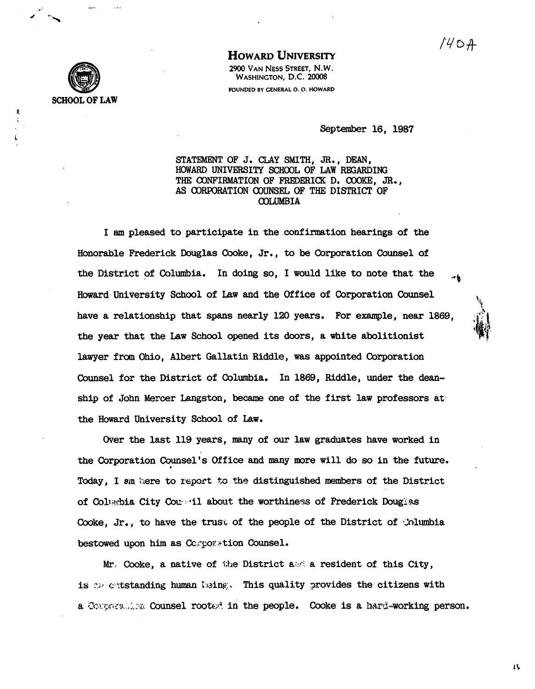## SCHOOL OF LAW

HOWARD UNIVERSITY

2900 VAN NESS STREET, N.W. WASHINGTON, D.C. 20008 FOUNDED BY CENERAL O. O. HOWARD

September 16, 1987

STATEMENT OF J. CLAY SMITH, JR., DEAN, HOWARD UNIVERSITY SCHOOL OF LAW REGARDING THE OONFIRMATION OF FREDERICK D. COOKE, JR., AS OORroRATION OOUNSEL OF THE DISTRICT OF OOLUMBIA

I am pleased to participate in the confirmation hearings of the Honorable Frederick DoUglas Cooke, Jr., to be Corporation Counsel of the District of Columbia. In doing so, I would like to note that the Howard University School of Law and the Office of Corporation Counsel have a relationship that spans nearly 120 years. For example, near 1869, the year that the Law School opened its doors, a white abolitionist lawyer from Ohio, Albert Gallatin Riddle, was appointed Corporation Counsel for the District of Colwnbia. In 1869, Riddle, under the deanship of John Mercer Langston, became one of the first law professors at· the Howard University School of Law.

Over the last 119 years, many of our law graduates have worked in the Corporation Counsel's Office and many more will do so in the future. Today, I em here to report t.o the distinguished members of the District of Columbia City Counseil about the worthiness of Frederick Douglas Cooke, Jr., to have the trust of the people of the District of  $\Lambda$ lumbia bestowed upon him as  $CC$  .  $C$  .  $C$  .  $C$ 

Mr. Cooke, a native of the District  $a \otimes a$  resident of this City, is  $\mathbb{R}^n$  extstanding human baing. This quality provides the citizens with a Congression Counsel rooted in the people. Cooke is a hard-working person.

n.